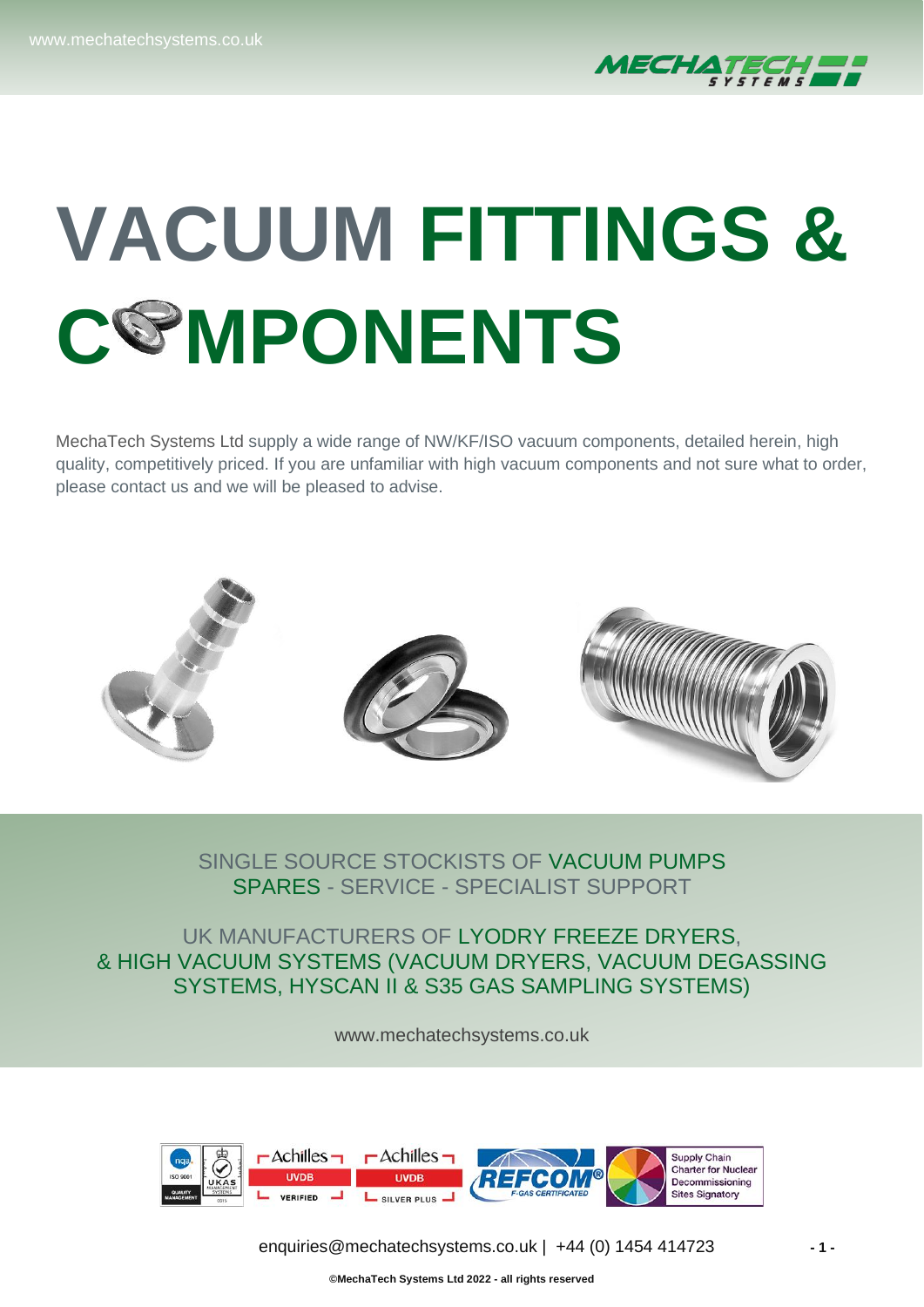

# **VACUUM FITTINGS & C MPONENTS**

MechaTech Systems Ltd supply a wide range of NW/KF/ISO vacuum components, detailed herein, high quality, competitively priced. If you are unfamiliar with high vacuum components and not sure what to order, please contact us and we will be pleased to advise.



#### SINGLE SOURCE STOCKISTS OF VACUUM PUMPS SPARES - SERVICE - SPECIALIST SUPPORT

ı

UK MANUFACTURERS OF LYODRY FREEZE DRYERS, & HIGH VACUUM SYSTEMS (VACUUM DRYERS, VACUUM DEGASSING SYSTEMS, HYSCAN II & S35 GAS SAMPLING SYSTEMS)

[www.mechatechsystems.co.uk](https://www.mechatechsystems.co.uk/)



[enquiries@mechatechsystems.co.uk](mailto:enquiries@mechatechsystems.co.uk) | +44 (0) 1454 414723 **- 1 -**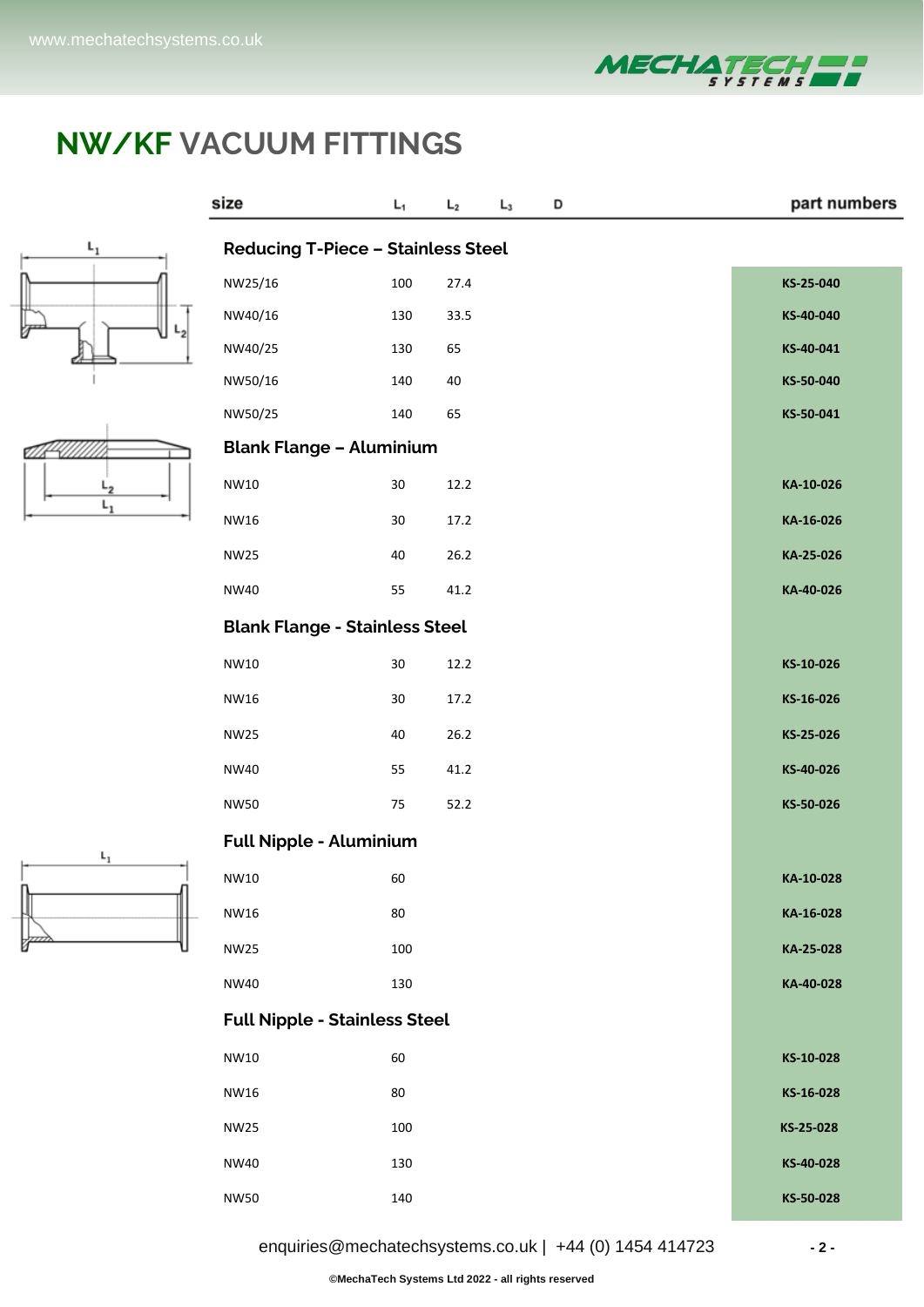





| size                                      | L <sub>1</sub> | L <sub>2</sub> | $L_3$ | D |  | part numbers |  |
|-------------------------------------------|----------------|----------------|-------|---|--|--------------|--|
| <b>Reducing T-Piece - Stainless Steel</b> |                |                |       |   |  |              |  |
| NW25/16                                   | 100            | 27.4           |       |   |  | KS-25-040    |  |
| NW40/16                                   | 130            | 33.5           |       |   |  | KS-40-040    |  |
| NW40/25                                   | 130            | 65             |       |   |  | KS-40-041    |  |
| NW50/16                                   | 140            | 40             |       |   |  | KS-50-040    |  |
| NW50/25                                   | 140            | 65             |       |   |  | KS-50-041    |  |
| <b>Blank Flange - Aluminium</b>           |                |                |       |   |  |              |  |
| NW10                                      | $30\,$         | 12.2           |       |   |  | KA-10-026    |  |
| NW16                                      | 30             | 17.2           |       |   |  | KA-16-026    |  |
| NW25                                      | 40             | 26.2           |       |   |  | KA-25-026    |  |
| <b>NW40</b>                               | 55             | 41.2           |       |   |  | KA-40-026    |  |
| <b>Blank Flange - Stainless Steel</b>     |                |                |       |   |  |              |  |
| NW10                                      | $30\,$         | 12.2           |       |   |  | KS-10-026    |  |
| NW16                                      | 30             | 17.2           |       |   |  | KS-16-026    |  |
| <b>NW25</b>                               | 40             | 26.2           |       |   |  | KS-25-026    |  |
| NW40                                      | 55             | 41.2           |       |   |  | KS-40-026    |  |
| <b>NW50</b>                               | 75             | 52.2           |       |   |  | KS-50-026    |  |
| <b>Full Nipple - Aluminium</b>            |                |                |       |   |  |              |  |
| NW10                                      | 60             |                |       |   |  | KA-10-028    |  |
| <b>NW16</b>                               | 80             |                |       |   |  | KA-16-028    |  |
| <b>NW25</b>                               | 100            |                |       |   |  | KA-25-028    |  |
| NW40                                      | 130            |                |       |   |  | KA-40-028    |  |
| <b>Full Nipple - Stainless Steel</b>      |                |                |       |   |  |              |  |
| NW10                                      | 60             |                |       |   |  | KS-10-028    |  |
| <b>NW16</b>                               | 80             |                |       |   |  | KS-16-028    |  |
| <b>NW25</b>                               | 100            |                |       |   |  | KS-25-028    |  |
| <b>NW40</b>                               | 130            |                |       |   |  | KS-40-028    |  |
| <b>NW50</b>                               | 140            |                |       |   |  | KS-50-028    |  |



[enquiries@mechatechsystems.co.uk](mailto:enquiries@mechatechsystems.co.uk) | +44 (0) 1454 414723 **- 2 -**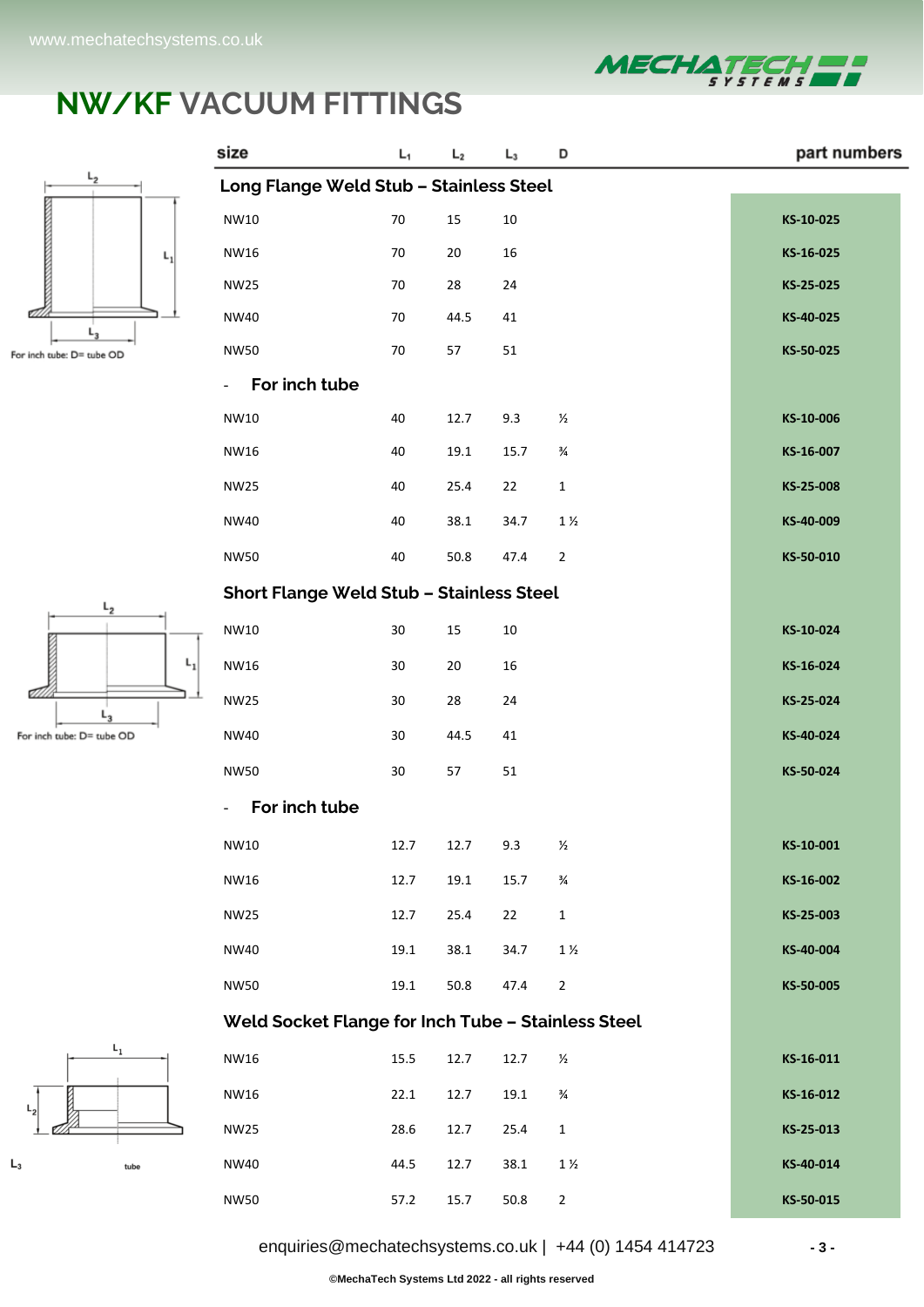

part numbers

#### **NW/KF VACUUM FITTINGS**

 $L_1$ 

 $L<sub>2</sub>$ 

size



| $L_{2}$                   | Long Flange Weld Stub - Stainless Steel            |        |        |          |                |           |
|---------------------------|----------------------------------------------------|--------|--------|----------|----------------|-----------|
|                           | NW10                                               | $70\,$ | $15\,$ | $10\,$   |                | KS-10-025 |
| L,                        | NW16                                               | 70     | 20     | 16       |                | KS-16-025 |
|                           | <b>NW25</b>                                        | 70     | 28     | 24       |                | KS-25-025 |
|                           | <b>NW40</b>                                        | 70     | 44.5   | 41       |                | KS-40-025 |
| be: D= tube OD            | <b>NW50</b>                                        | $70\,$ | 57     | 51       |                | KS-50-025 |
|                           | For inch tube                                      |        |        |          |                |           |
|                           | NW10                                               | 40     | 12.7   | 9.3      | $\frac{1}{2}$  | KS-10-006 |
|                           | NW16                                               | 40     | 19.1   | 15.7     | $\frac{3}{4}$  | KS-16-007 |
|                           | <b>NW25</b>                                        | 40     | 25.4   | 22       | $\mathbf 1$    | KS-25-008 |
|                           | <b>NW40</b>                                        | 40     | 38.1   | 34.7     | $1\frac{1}{2}$ | KS-40-009 |
|                           | <b>NW50</b>                                        | 40     | 50.8   | 47.4     | $\overline{2}$ | KS-50-010 |
|                           | Short Flange Weld Stub - Stainless Steel           |        |        |          |                |           |
| $L_{2}$                   | NW10                                               | 30     | 15     | $10\,$   |                | KS-10-024 |
| $L_{1}$                   | <b>NW16</b>                                        | 30     | 20     | 16       |                | KS-16-024 |
|                           | <b>NW25</b>                                        | $30\,$ | 28     | 24       |                | KS-25-024 |
| $L_3$<br>tube: D= tube OD | <b>NW40</b>                                        | 30     | 44.5   | 41       |                | KS-40-024 |
|                           | <b>NW50</b>                                        | 30     | 57     | 51       |                | KS-50-024 |
|                           | For inch tube                                      |        |        |          |                |           |
|                           | NW10                                               | 12.7   | 12.7   | 9.3      | $\frac{1}{2}$  | KS-10-001 |
|                           | NW16                                               | 12.7   |        | 15.7     | $\frac{3}{4}$  | KS-16-002 |
|                           |                                                    |        | 19.1   |          |                |           |
|                           | <b>NW25</b>                                        | 12.7   | 25.4   | 22       | $\mathbf 1$    | KS-25-003 |
|                           | <b>NW40</b>                                        | 19.1   | 38.1   | 34.7     | $1\,\%$        | KS-40-004 |
|                           | <b>NW50</b>                                        | 19.1   | 50.8   | 47.4     | $\overline{2}$ | KS-50-005 |
|                           | Weld Socket Flange for Inch Tube - Stainless Steel |        |        |          |                |           |
| $L_1$                     | NW16                                               | 15.5   | 12.7   | 12.7     | $\frac{1}{2}$  | KS-16-011 |
|                           | NW16                                               | 22.1   | 12.7   | 19.1     | $\frac{3}{4}$  | KS-16-012 |
|                           | <b>NW25</b>                                        | 28.6   | 12.7   | 25.4     | $\mathbf 1$    | KS-25-013 |
| tube                      | <b>NW40</b>                                        | 44.5   | 12.7   | 38.1     | $1\frac{1}{2}$ | KS-40-014 |
|                           | <b>NW50</b>                                        | 57.2   | 15.7   | $50.8\,$ | $\overline{2}$ | KS-50-015 |

D

 $L_3$ 





[enquiries@mechatechsystems.co.uk](mailto:enquiries@mechatechsystems.co.uk) | +44 (0) 1454 414723 **- 3 -**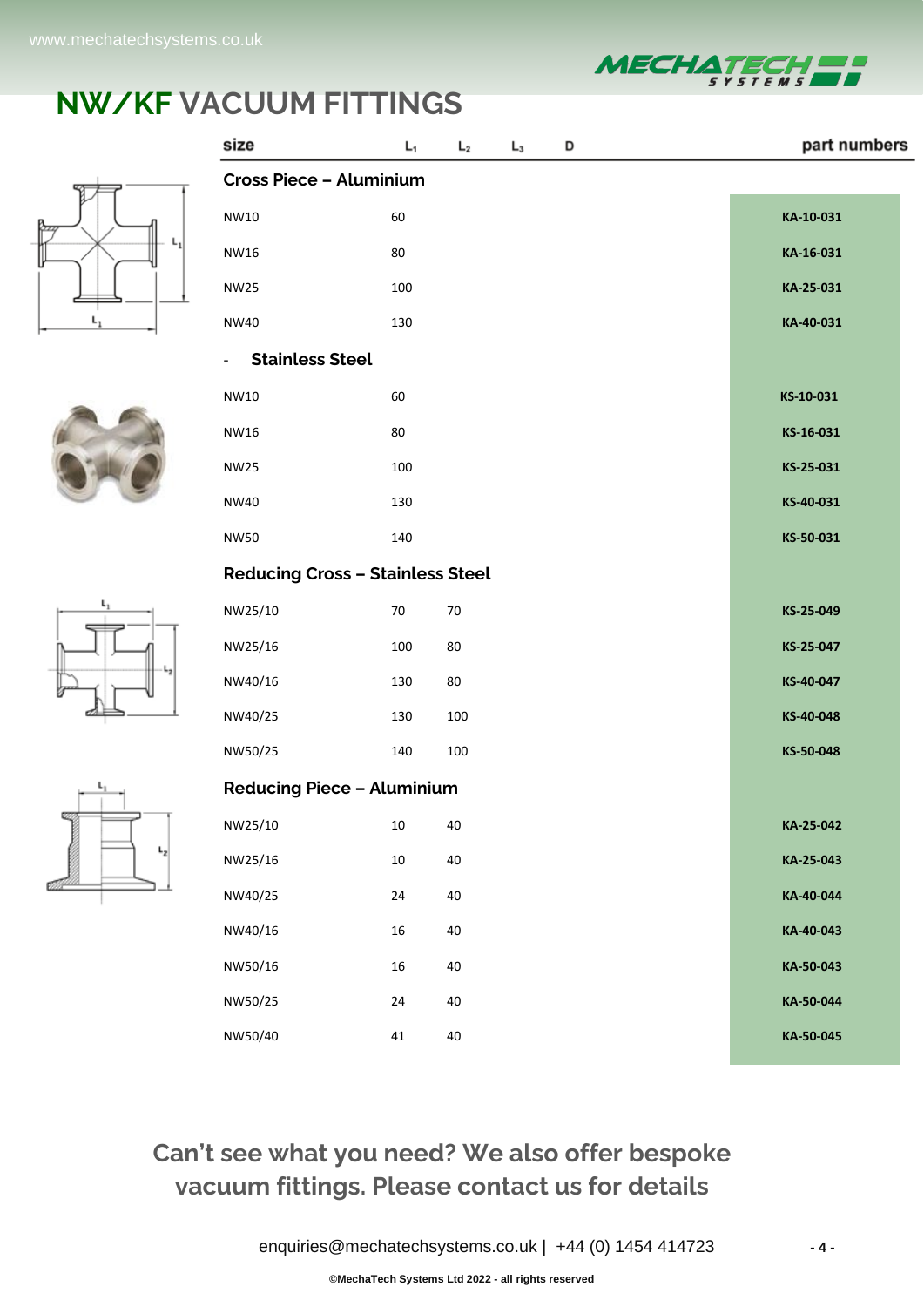

part numbers

#### **NW/KF VACUUM FITTINGS**

 $L_1$ 

 $L_2$ 

 $L_3$ 

D

size









|    | <b>Cross Piece - Aluminium</b>          |        |     |           |  |  |  |  |  |  |
|----|-----------------------------------------|--------|-----|-----------|--|--|--|--|--|--|
|    | NW10                                    | 60     |     | KA-10-031 |  |  |  |  |  |  |
|    | NW16                                    | 80     |     | KA-16-031 |  |  |  |  |  |  |
|    | <b>NW25</b>                             | 100    |     | KA-25-031 |  |  |  |  |  |  |
| L, | <b>NW40</b>                             | 130    |     | KA-40-031 |  |  |  |  |  |  |
|    | <b>Stainless Steel</b>                  |        |     |           |  |  |  |  |  |  |
|    | NW10                                    | 60     |     | KS-10-031 |  |  |  |  |  |  |
|    | NW16                                    | 80     |     | KS-16-031 |  |  |  |  |  |  |
|    | <b>NW25</b>                             | 100    |     | KS-25-031 |  |  |  |  |  |  |
|    | <b>NW40</b>                             | 130    |     | KS-40-031 |  |  |  |  |  |  |
|    | <b>NW50</b>                             | 140    |     | KS-50-031 |  |  |  |  |  |  |
|    | <b>Reducing Cross - Stainless Steel</b> |        |     |           |  |  |  |  |  |  |
| ı, | NW25/10                                 | 70     | 70  | KS-25-049 |  |  |  |  |  |  |
|    | NW25/16                                 | 100    | 80  | KS-25-047 |  |  |  |  |  |  |
|    | NW40/16                                 | 130    | 80  | KS-40-047 |  |  |  |  |  |  |
|    | NW40/25                                 | 130    | 100 | KS-40-048 |  |  |  |  |  |  |
|    | NW50/25                                 | 140    | 100 | KS-50-048 |  |  |  |  |  |  |
|    | <b>Reducing Piece - Aluminium</b>       |        |     |           |  |  |  |  |  |  |
|    | NW25/10                                 | 10     | 40  | KA-25-042 |  |  |  |  |  |  |
| -2 | NW25/16                                 | $10\,$ | 40  | KA-25-043 |  |  |  |  |  |  |
|    | NW40/25                                 | 24     | 40  | KA-40-044 |  |  |  |  |  |  |
|    | NW40/16                                 | $16\,$ | 40  | KA-40-043 |  |  |  |  |  |  |
|    | NW50/16                                 | $16\,$ | 40  | KA-50-043 |  |  |  |  |  |  |
|    | NW50/25                                 | 24     | 40  | KA-50-044 |  |  |  |  |  |  |
|    | NW50/40                                 | 41     | 40  | KA-50-045 |  |  |  |  |  |  |

#### **Can't see what you need? We also offer bespoke vacuum fittings. Please contact us for details**

[enquiries@mechatechsystems.co.uk](mailto:enquiries@mechatechsystems.co.uk) | +44 (0) 1454 414723 **- 4 -**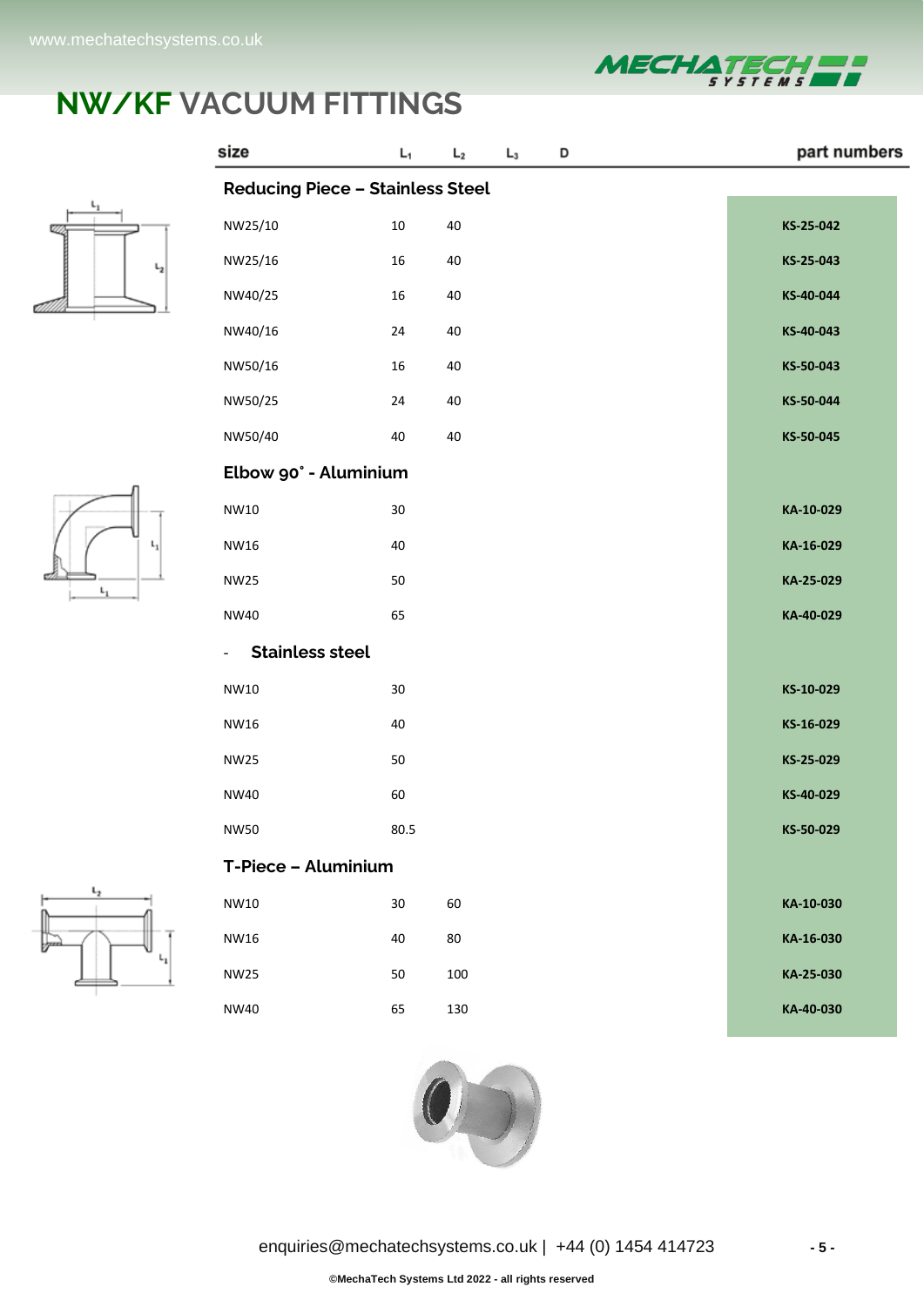

part numbers

# **NW/KF VACUUM FITTINGS**

 $\mathsf{L}_1$ 

 $\mathsf{L}_2$ 

 $L_3$ 

D

size



|                | <b>Reducing Piece - Stainless Steel</b>            |        |        |           |  |  |  |  |  |  |
|----------------|----------------------------------------------------|--------|--------|-----------|--|--|--|--|--|--|
|                | NW25/10                                            | $10\,$ | $40\,$ | KS-25-042 |  |  |  |  |  |  |
| $\mathsf{L}_2$ | NW25/16                                            | 16     | $40\,$ | KS-25-043 |  |  |  |  |  |  |
|                | NW40/25                                            | 16     | $40\,$ | KS-40-044 |  |  |  |  |  |  |
|                | NW40/16                                            | $24\,$ | $40\,$ | KS-40-043 |  |  |  |  |  |  |
|                | NW50/16                                            | 16     | $40\,$ | KS-50-043 |  |  |  |  |  |  |
|                | NW50/25                                            | $24\,$ | $40\,$ | KS-50-044 |  |  |  |  |  |  |
|                | NW50/40                                            | 40     | 40     | KS-50-045 |  |  |  |  |  |  |
|                | Elbow 90° - Aluminium                              |        |        |           |  |  |  |  |  |  |
| $L_1$<br>$L_1$ | NW10                                               | $30\,$ |        | KA-10-029 |  |  |  |  |  |  |
|                | NW16                                               | 40     |        | KA-16-029 |  |  |  |  |  |  |
|                | <b>NW25</b>                                        | 50     |        | KA-25-029 |  |  |  |  |  |  |
|                | <b>NW40</b>                                        | 65     |        | KA-40-029 |  |  |  |  |  |  |
|                | <b>Stainless steel</b><br>$\overline{\phantom{0}}$ |        |        |           |  |  |  |  |  |  |
|                | NW10                                               | $30\,$ |        | KS-10-029 |  |  |  |  |  |  |
|                | <b>NW16</b>                                        | 40     |        | KS-16-029 |  |  |  |  |  |  |
|                | <b>NW25</b>                                        | 50     |        | KS-25-029 |  |  |  |  |  |  |
|                | <b>NW40</b>                                        | 60     |        | KS-40-029 |  |  |  |  |  |  |
|                | <b>NW50</b>                                        | 80.5   |        | KS-50-029 |  |  |  |  |  |  |
|                | T-Piece - Aluminium                                |        |        |           |  |  |  |  |  |  |
| ı,             | NW10                                               | 30     | 60     | KA-10-030 |  |  |  |  |  |  |
|                | NW16                                               | 40     | 80     | KA-16-030 |  |  |  |  |  |  |
|                | <b>NW25</b>                                        | 50     | 100    | KA-25-030 |  |  |  |  |  |  |
|                | <b>NW40</b>                                        | 65     | 130    | KA-40-030 |  |  |  |  |  |  |
|                |                                                    |        |        |           |  |  |  |  |  |  |



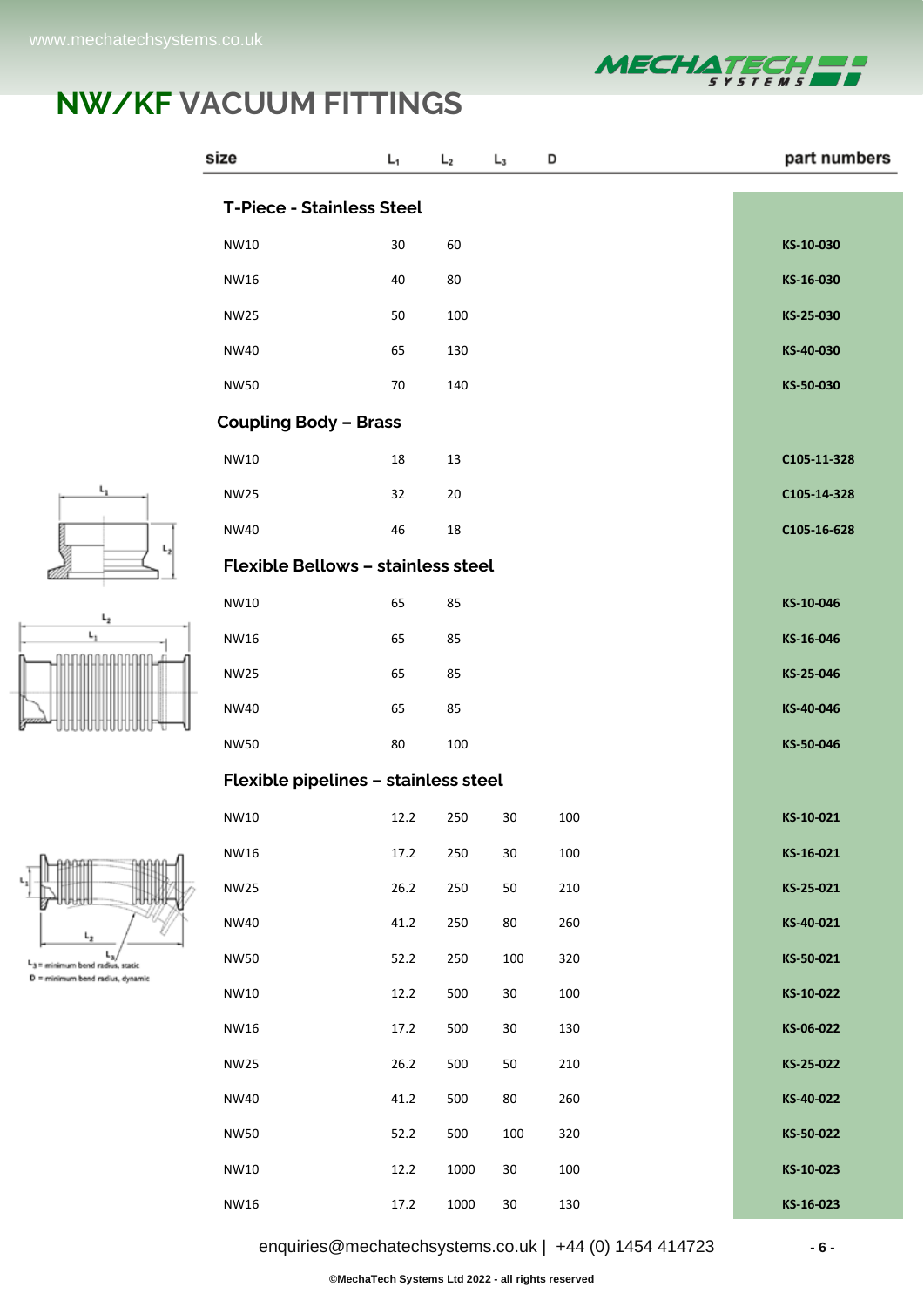L,  $L_3$  = minimum bend radius, static  $D =$  minimum band radius, dynamic



#### **NW/KF VACUUM FITTINGS**

|                                          | size                                      | L <sub>1</sub> | L <sub>2</sub> | $L_3$  | D   | part numbers |
|------------------------------------------|-------------------------------------------|----------------|----------------|--------|-----|--------------|
|                                          | <b>T-Piece - Stainless Steel</b>          |                |                |        |     |              |
|                                          | NW10                                      | $30\,$         | 60             |        |     | KS-10-030    |
|                                          | <b>NW16</b>                               | 40             | 80             |        |     | KS-16-030    |
|                                          | <b>NW25</b>                               | 50             | 100            |        |     | KS-25-030    |
|                                          | <b>NW40</b>                               | 65             | 130            |        |     | KS-40-030    |
|                                          | <b>NW50</b>                               | 70             | 140            |        |     | KS-50-030    |
|                                          | <b>Coupling Body - Brass</b>              |                |                |        |     |              |
|                                          | NW10                                      | 18             | 13             |        |     | C105-11-328  |
| ı,                                       | <b>NW25</b>                               | 32             | 20             |        |     | C105-14-328  |
|                                          | <b>NW40</b>                               | 46             | $18\,$         |        |     | C105-16-628  |
| L,                                       | <b>Flexible Bellows - stainless steel</b> |                |                |        |     |              |
| $\mathsf{L}_2$                           | NW10                                      | 65             | 85             |        |     | KS-10-046    |
| $\mathsf{L}_1$                           | NW16                                      | 65             | 85             |        |     | KS-16-046    |
|                                          | <b>NW25</b>                               | 65             | 85             |        |     | KS-25-046    |
|                                          | <b>NW40</b>                               | 65             | 85             |        |     | KS-40-046    |
|                                          | <b>NW50</b>                               | 80             | 100            |        |     | KS-50-046    |
|                                          | Flexible pipelines - stainless steel      |                |                |        |     |              |
|                                          | NW10                                      | 12.2           | 250            | $30\,$ | 100 | KS-10-021    |
|                                          | <b>NW16</b>                               | 17.2           | 250            | $30\,$ | 100 | KS-16-021    |
|                                          | <b>NW25</b>                               | 26.2           | 250            | 50     | 210 | KS-25-021    |
|                                          | <b>NW40</b>                               | 41.2           | 250            | 80     | 260 | KS-40-021    |
| $L_{\rm B}$<br>wimum bend radius, static | <b>NW50</b>                               | 52.2           | 250            | 100    | 320 | KS-50-021    |
| simum bend radius, dynamic               | NW10                                      | 12.2           | 500            | $30\,$ | 100 | KS-10-022    |
|                                          | NW16                                      | 17.2           | 500            | $30\,$ | 130 | KS-06-022    |
|                                          | <b>NW25</b>                               | 26.2           | 500            | 50     | 210 | KS-25-022    |
|                                          | <b>NW40</b>                               | 41.2           | 500            | 80     | 260 | KS-40-022    |
|                                          | <b>NW50</b>                               | 52.2           | 500            | 100    | 320 | KS-50-022    |
|                                          | NW10                                      | 12.2           | 1000           | $30\,$ | 100 | KS-10-023    |
|                                          | NW16                                      | 17.2           | 1000           | $30\,$ | 130 | KS-16-023    |

[enquiries@mechatechsystems.co.uk](mailto:enquiries@mechatechsystems.co.uk) | +44 (0) 1454 414723 **- 6 -**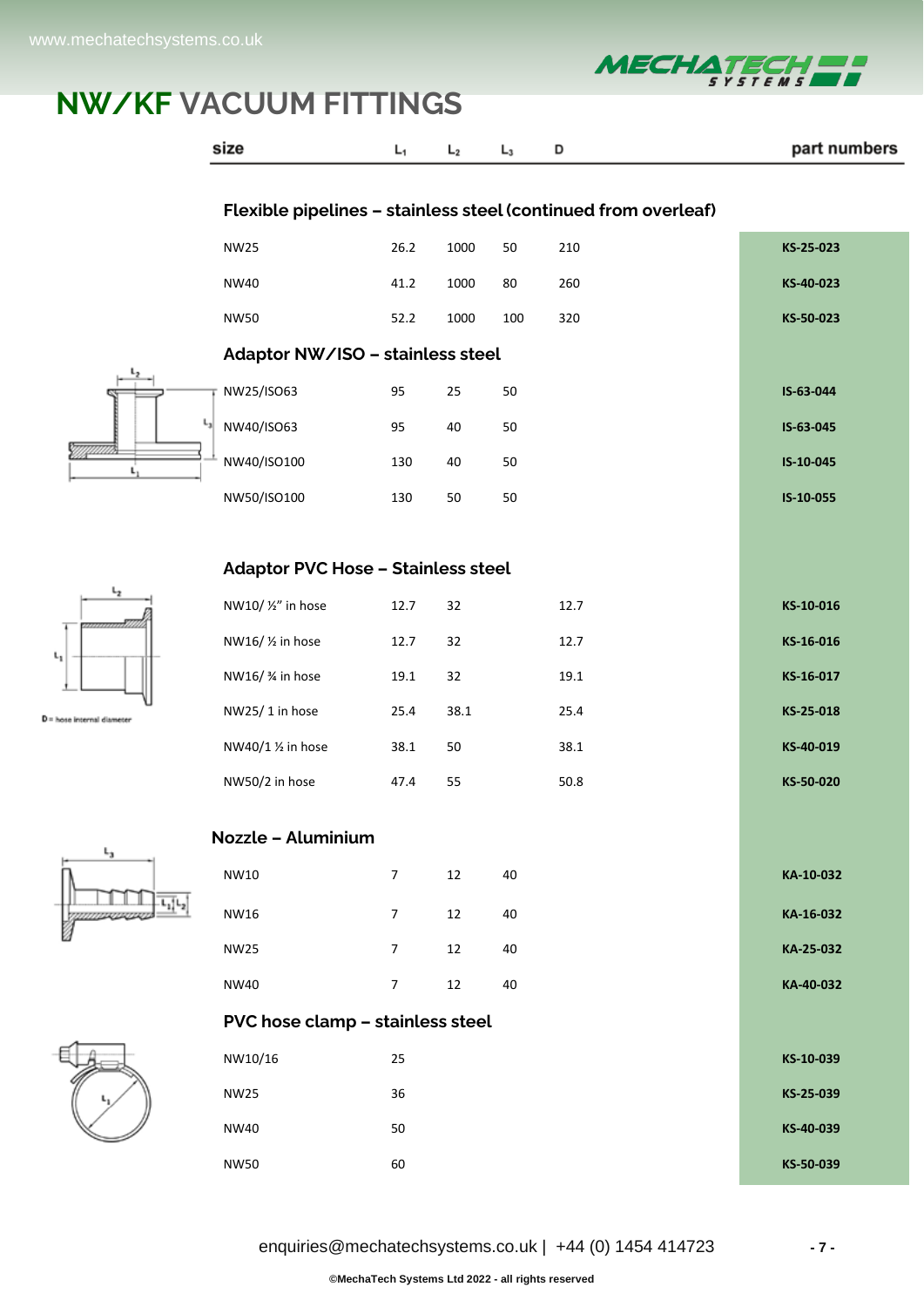

|                        | size                                      | L <sub>1</sub>   | L <sub>2</sub> | $L_3$  | D    | part numbers |
|------------------------|-------------------------------------------|------------------|----------------|--------|------|--------------|
|                        |                                           |                  |                |        |      |              |
|                        | <b>NW25</b>                               | 26.2             | 1000           | 50     | 210  | KS-25-023    |
|                        | <b>NW40</b>                               | 41.2             | 1000           | 80     | 260  | KS-40-023    |
|                        | <b>NW50</b>                               | 52.2             | 1000           | 100    | 320  | KS-50-023    |
|                        | Adaptor NW/ISO - stainless steel          |                  |                |        |      |              |
|                        | NW25/ISO63                                | 95               | 25             | 50     |      | IS-63-044    |
| $\mathsf{L}_3$         | NW40/ISO63                                | 95               | 40             | 50     |      | IS-63-045    |
| L.                     | NW40/ISO100                               | 130              | 40             | 50     |      | IS-10-045    |
|                        | NW50/ISO100                               | 130              | 50             | 50     |      | IS-10-055    |
|                        |                                           |                  |                |        |      |              |
| ı,                     | <b>Adaptor PVC Hose - Stainless steel</b> |                  |                |        |      |              |
|                        | NW10/ 1/2" in hose                        | 12.7             | 32             |        | 12.7 | KS-10-016    |
|                        | NW16/ 1/2 in hose                         | 12.7             | 32             |        | 12.7 | KS-16-016    |
|                        | NW16/ % in hose                           | 19.1             | 32             |        | 19.1 | KS-16-017    |
| hose internal diameter | NW25/1 in hose                            | 25.4             | 38.1           |        | 25.4 | KS-25-018    |
|                        | NW40/1 1/2 in hose                        | 38.1             | 50             |        | 38.1 | KS-40-019    |
|                        | NW50/2 in hose                            | 47.4             | 55             |        | 50.8 | KS-50-020    |
|                        | Nozzle - Aluminium                        |                  |                |        |      |              |
| L3                     | NW10                                      | $\boldsymbol{7}$ | $12\,$         | 40     |      | KA-10-032    |
|                        | NW16                                      | $\boldsymbol{7}$ | 12             | $40\,$ |      | KA-16-032    |
|                        | <b>NW25</b>                               | $\overline{7}$   | 12             | 40     |      | KA-25-032    |
|                        | <b>NW40</b>                               | $\overline{7}$   | 12             | 40     |      | KA-40-032    |
|                        | PVC hose clamp - stainless steel          |                  |                |        |      |              |
|                        | NW10/16                                   | 25               |                |        |      | KS-10-039    |
|                        | <b>NW25</b>                               | 36               |                |        |      | KS-25-039    |
|                        | <b>NW40</b>                               | 50               |                |        |      | KS-40-039    |
|                        | <b>NW50</b>                               | 60               |                |        |      | KS-50-039    |



 $D$  = hose internal diameter



| enquiries@mechatechsystems.co.uk   $+44$ (0) 1454 414723 |
|----------------------------------------------------------|
|----------------------------------------------------------|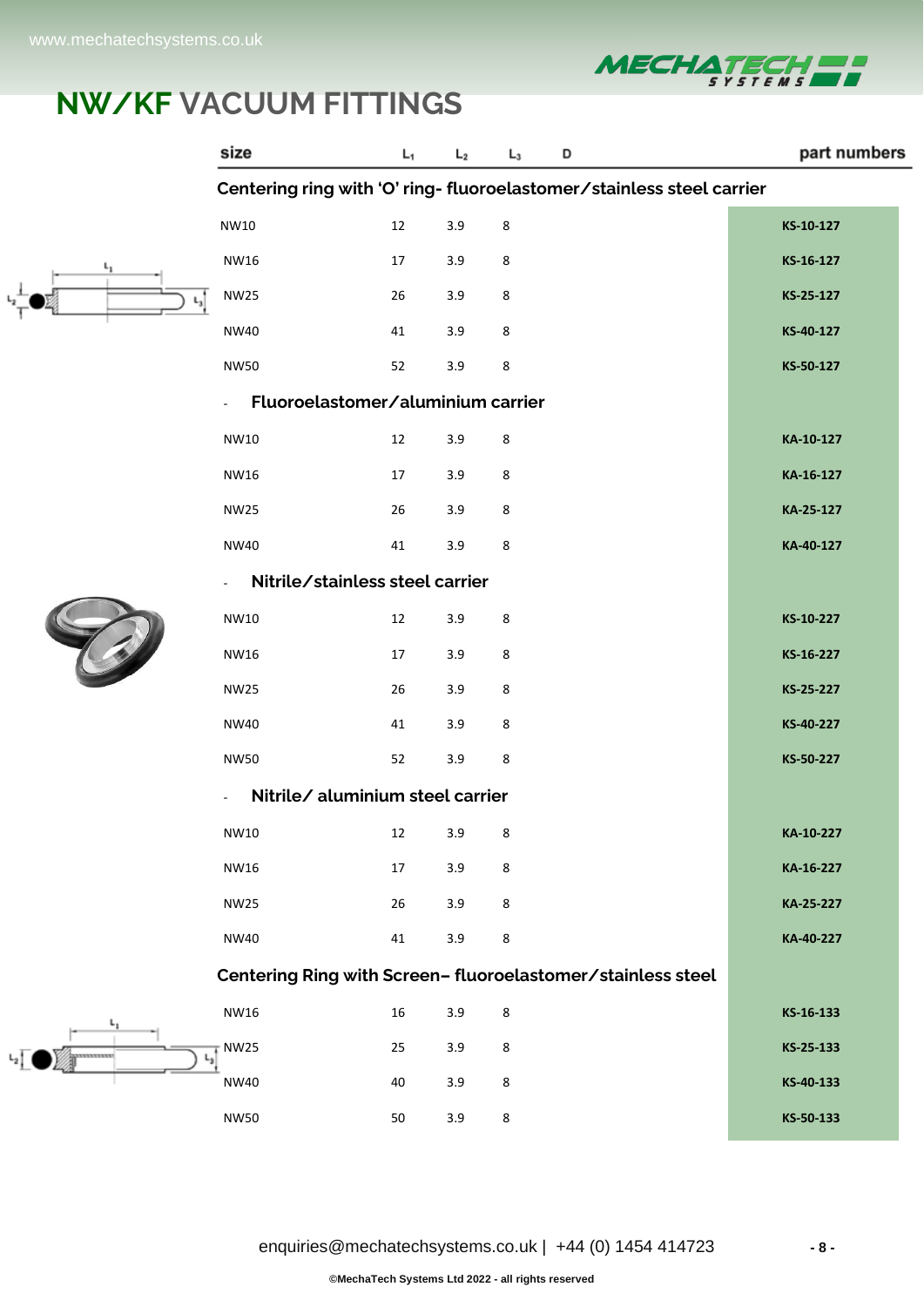



 $L_2$ 

|            | size                                                                 |                                   | L,     | L <sub>2</sub> | $L_3$ | D                                                           | part numbers |
|------------|----------------------------------------------------------------------|-----------------------------------|--------|----------------|-------|-------------------------------------------------------------|--------------|
|            | Centering ring with 'O' ring-fluoroelastomer/stainless steel carrier |                                   |        |                |       |                                                             |              |
|            | NW10                                                                 |                                   | $12\,$ | 3.9            | 8     |                                                             | KS-10-127    |
| $L_1$      | NW16                                                                 |                                   | 17     | 3.9            | 8     |                                                             | KS-16-127    |
|            | <b>NW25</b>                                                          |                                   | 26     | 3.9            | 8     |                                                             | KS-25-127    |
|            | <b>NW40</b>                                                          |                                   | 41     | 3.9            | 8     |                                                             | KS-40-127    |
|            | <b>NW50</b>                                                          |                                   | 52     | 3.9            | 8     |                                                             | KS-50-127    |
|            | $\mathbf{r}$                                                         | Fluoroelastomer/aluminium carrier |        |                |       |                                                             |              |
|            | NW10                                                                 |                                   | 12     | 3.9            | 8     |                                                             | KA-10-127    |
|            | NW16                                                                 |                                   | 17     | 3.9            | 8     |                                                             | KA-16-127    |
|            | <b>NW25</b>                                                          |                                   | 26     | 3.9            | 8     |                                                             | KA-25-127    |
|            | <b>NW40</b>                                                          |                                   | 41     | 3.9            | 8     |                                                             | KA-40-127    |
|            |                                                                      | Nitrile/stainless steel carrier   |        |                |       |                                                             |              |
|            | NW10                                                                 |                                   | $12\,$ | 3.9            | 8     |                                                             | KS-10-227    |
|            | NW16                                                                 |                                   | 17     | 3.9            | 8     |                                                             | KS-16-227    |
|            | <b>NW25</b>                                                          |                                   | 26     | 3.9            | 8     |                                                             | KS-25-227    |
|            | NW40                                                                 |                                   | 41     | 3.9            | 8     |                                                             | KS-40-227    |
|            | <b>NW50</b>                                                          |                                   | 52     | 3.9            | 8     |                                                             | KS-50-227    |
|            |                                                                      | Nitrile/ aluminium steel carrier  |        |                |       |                                                             |              |
|            | NW10                                                                 |                                   | 12     | 3.9            | 8     |                                                             | KA-10-227    |
|            | NW16                                                                 |                                   | 17     | 3.9            | 8     |                                                             | KA-16-227    |
|            | <b>NW25</b>                                                          |                                   | 26     | 3.9            | 8     |                                                             | KA-25-227    |
|            | <b>NW40</b>                                                          |                                   | 41     | 3.9            | 8     |                                                             | KA-40-227    |
|            |                                                                      |                                   |        |                |       | Centering Ring with Screen- fluoroelastomer/stainless steel |              |
| ι,         | NW16                                                                 |                                   | 16     | 3.9            | 8     |                                                             | KS-16-133    |
| ********** | <b>NW25</b>                                                          |                                   | 25     | 3.9            | 8     |                                                             | KS-25-133    |
|            | NW40                                                                 |                                   | 40     | 3.9            | 8     |                                                             | KS-40-133    |
|            | <b>NW50</b>                                                          |                                   | 50     | 3.9            | 8     |                                                             | KS-50-133    |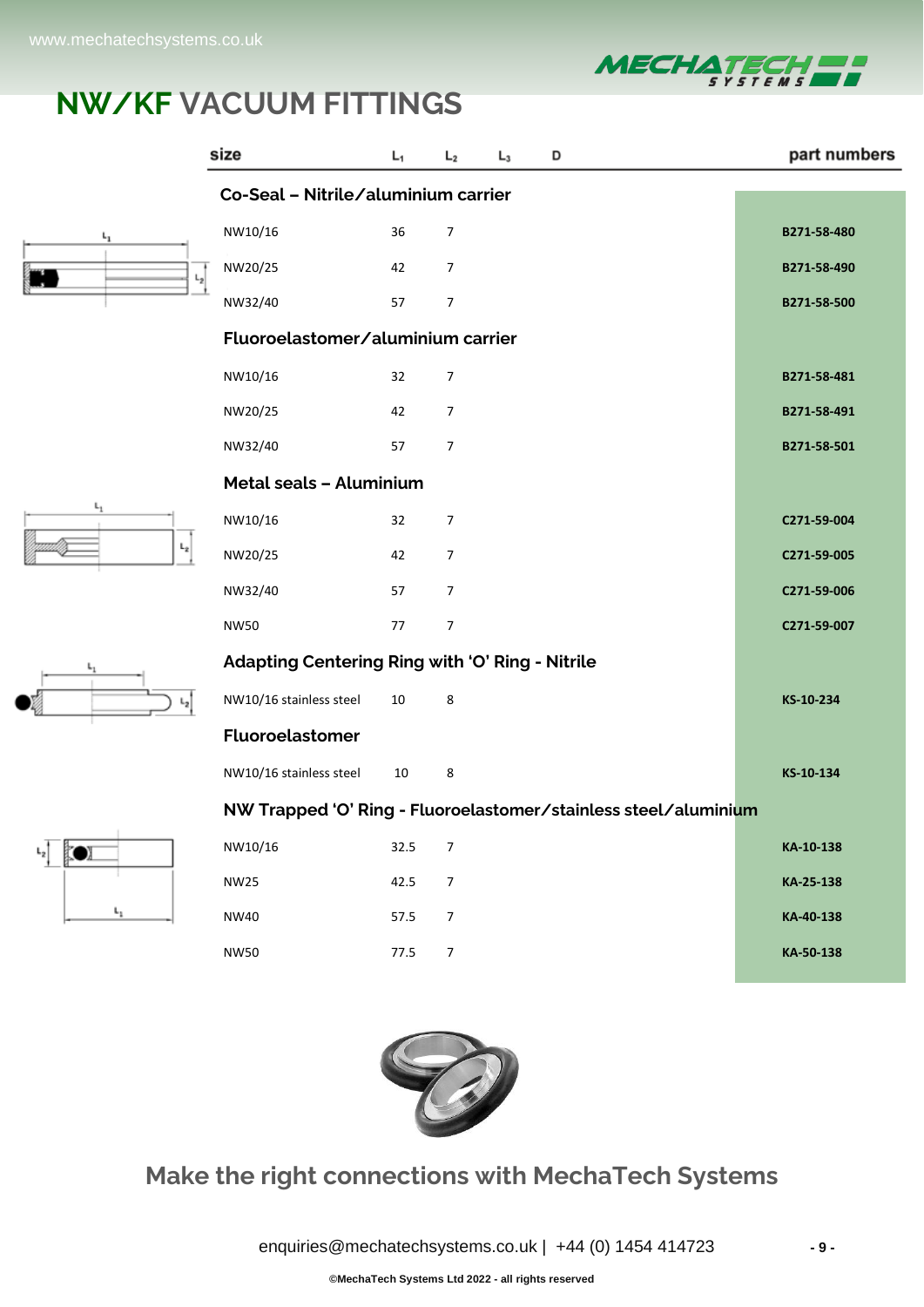

| size          |                                                                 | L <sub>1</sub> | L <sub>2</sub> | $L_3$ | D |  | part numbers |
|---------------|-----------------------------------------------------------------|----------------|----------------|-------|---|--|--------------|
|               | Co-Seal - Nitrile/aluminium carrier                             |                |                |       |   |  |              |
| ւլ            | NW10/16                                                         | 36             | $\overline{7}$ |       |   |  | B271-58-480  |
| $L_{2}$       | NW20/25                                                         | 42             | $\overline{7}$ |       |   |  | B271-58-490  |
|               | NW32/40                                                         | 57             | $\overline{7}$ |       |   |  | B271-58-500  |
|               | Fluoroelastomer/aluminium carrier                               |                |                |       |   |  |              |
|               | NW10/16                                                         | 32             | 7              |       |   |  | B271-58-481  |
|               | NW20/25                                                         | 42             | $\overline{7}$ |       |   |  | B271-58-491  |
|               | NW32/40                                                         | 57             | $\overline{7}$ |       |   |  | B271-58-501  |
|               | <b>Metal seals - Aluminium</b>                                  |                |                |       |   |  |              |
| $L_1$         | NW10/16                                                         | 32             | $\overline{7}$ |       |   |  | C271-59-004  |
| $L_2$         | NW20/25                                                         | 42             | $\overline{7}$ |       |   |  | C271-59-005  |
|               | NW32/40                                                         | 57             | $\overline{7}$ |       |   |  | C271-59-006  |
|               | <b>NW50</b>                                                     | 77             | $\overline{7}$ |       |   |  | C271-59-007  |
|               | Adapting Centering Ring with 'O' Ring - Nitrile                 |                |                |       |   |  |              |
|               | NW10/16 stainless steel                                         | $10\,$         | 8              |       |   |  | KS-10-234    |
|               | Fluoroelastomer                                                 |                |                |       |   |  |              |
|               | NW10/16 stainless steel                                         | 10             | 8              |       |   |  | KS-10-134    |
|               | NW Trapped 'O' Ring - Fluoroelastomer/stainless steel/aluminium |                |                |       |   |  |              |
| $L_{2}$<br>D) | NW10/16                                                         | 32.5           | $\overline{7}$ |       |   |  | KA-10-138    |
|               | <b>NW25</b>                                                     | 42.5           | $\overline{7}$ |       |   |  | KA-25-138    |
| ı.,           | NW40                                                            | 57.5           | $\overline{7}$ |       |   |  | KA-40-138    |
|               | <b>NW50</b>                                                     | 77.5           | $\overline{7}$ |       |   |  | KA-50-138    |
|               |                                                                 |                |                |       |   |  |              |



#### **Make the right connections with MechaTech Systems**

[enquiries@mechatechsystems.co.uk](mailto:enquiries@mechatechsystems.co.uk) | +44 (0) 1454 414723 **- 9 -**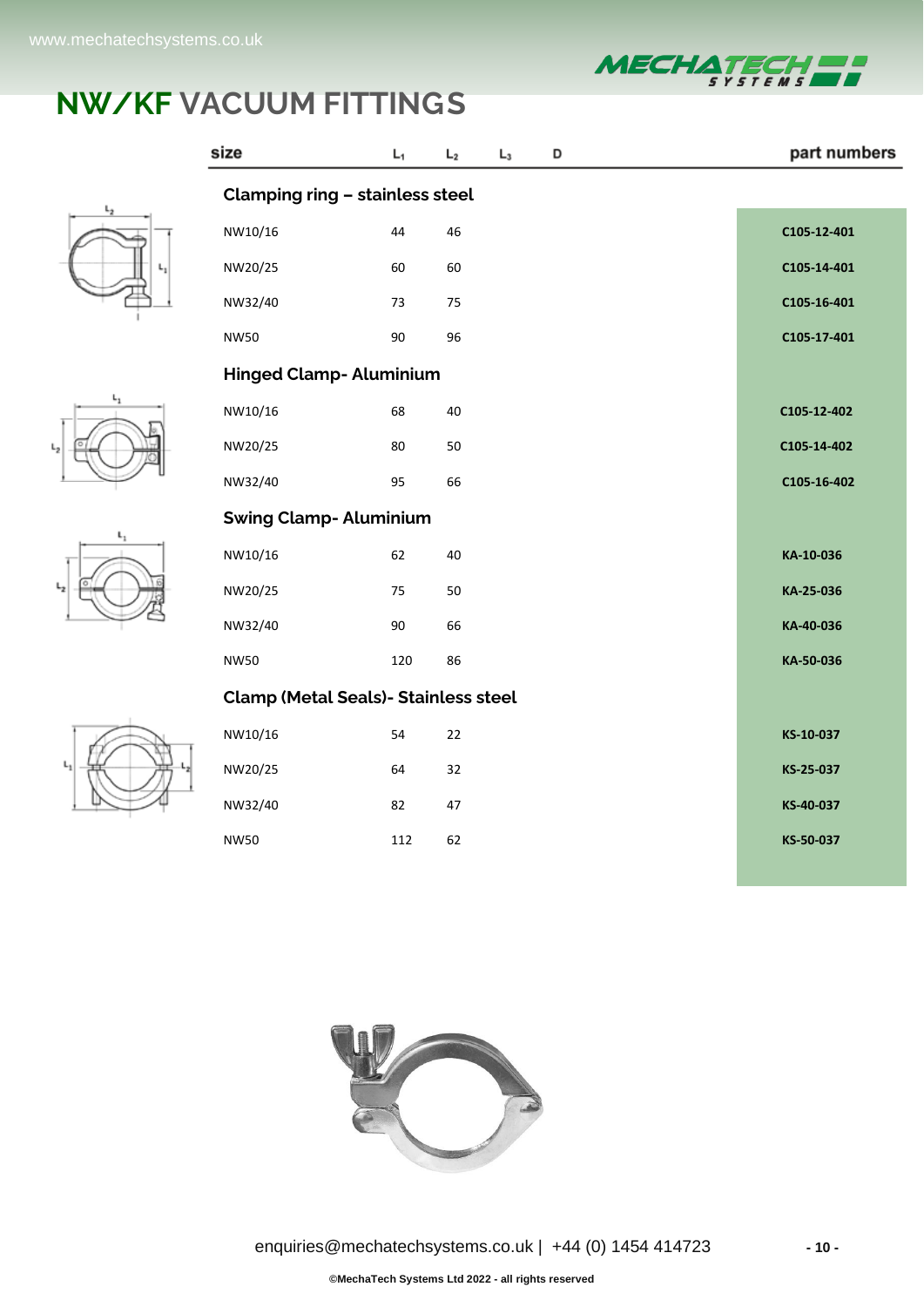









| size                                        | L <sub>1</sub> | L <sub>2</sub> | $L_3$ | D | part numbers |
|---------------------------------------------|----------------|----------------|-------|---|--------------|
| Clamping ring - stainless steel             |                |                |       |   |              |
| NW10/16                                     | 44             | 46             |       |   | C105-12-401  |
| NW20/25                                     | 60             | 60             |       |   | C105-14-401  |
| NW32/40                                     | 73             | 75             |       |   | C105-16-401  |
| <b>NW50</b>                                 | 90             | 96             |       |   | C105-17-401  |
| <b>Hinged Clamp- Aluminium</b>              |                |                |       |   |              |
| NW10/16                                     | 68             | 40             |       |   | C105-12-402  |
| NW20/25                                     | 80             | 50             |       |   | C105-14-402  |
| NW32/40                                     | 95             | 66             |       |   | C105-16-402  |
| <b>Swing Clamp-Aluminium</b>                |                |                |       |   |              |
| NW10/16                                     | 62             | 40             |       |   | KA-10-036    |
| NW20/25                                     | 75             | 50             |       |   | KA-25-036    |
| NW32/40                                     | 90             | 66             |       |   | KA-40-036    |
| <b>NW50</b>                                 | 120            | 86             |       |   | KA-50-036    |
| <b>Clamp (Metal Seals)- Stainless steel</b> |                |                |       |   |              |
| NW10/16                                     | 54             | 22             |       |   | KS-10-037    |
| NW20/25                                     | 64             | 32             |       |   | KS-25-037    |
| NW32/40                                     | 82             | 47             |       |   | KS-40-037    |
| <b>NW50</b>                                 | 112            | 62             |       |   | KS-50-037    |

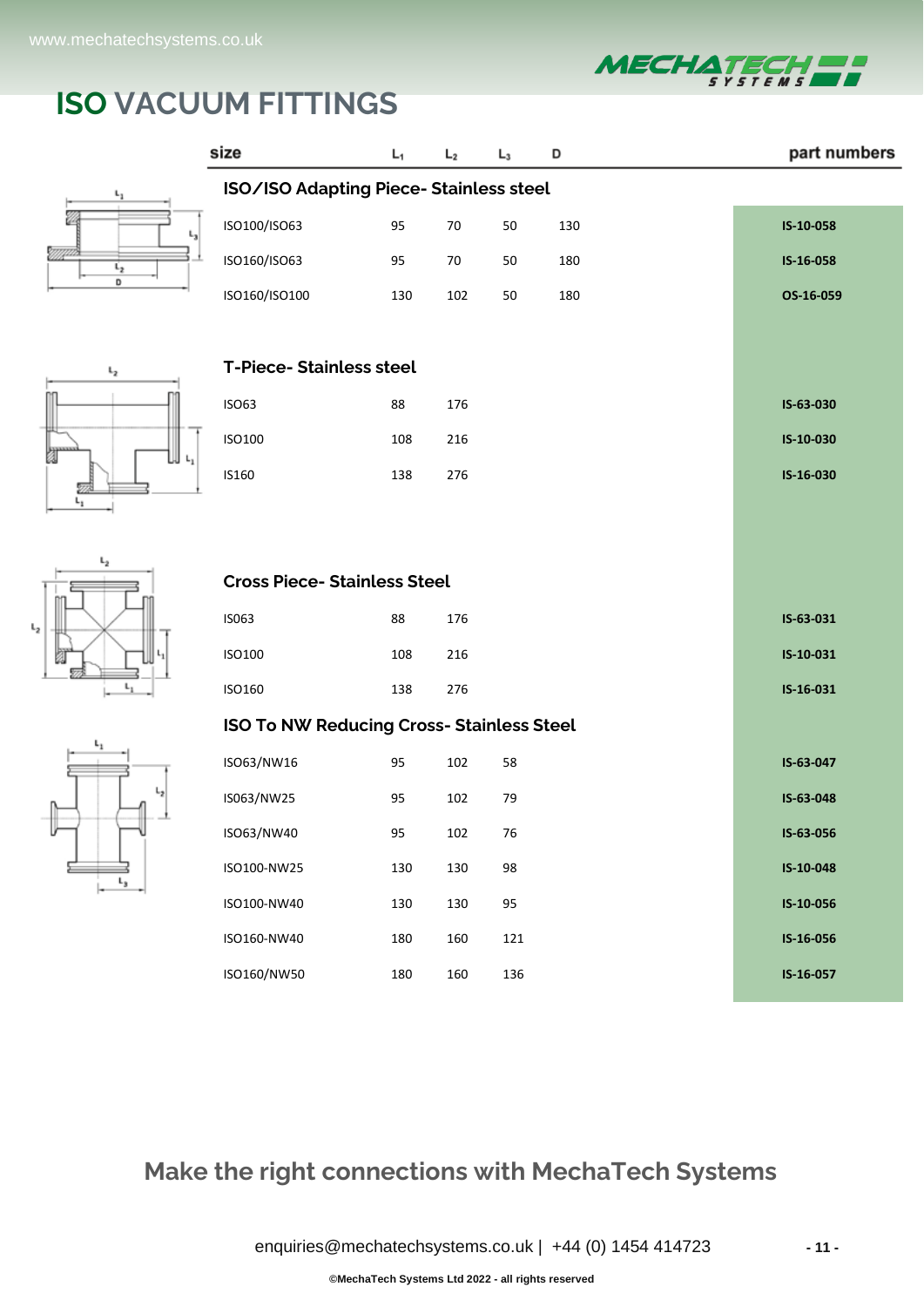

# **ISO VACUUM FITTINGS**









| size                                             | L <sub>1</sub> | $L_2$ | $L_3$ | D   | part numbers |  |
|--------------------------------------------------|----------------|-------|-------|-----|--------------|--|
| ISO/ISO Adapting Piece-Stainless steel           |                |       |       |     |              |  |
| ISO100/ISO63                                     | 95             | 70    | 50    | 130 | IS-10-058    |  |
| ISO160/ISO63                                     | 95             | 70    | 50    | 180 | IS-16-058    |  |
| ISO160/ISO100                                    | 130            | 102   | 50    | 180 | OS-16-059    |  |
|                                                  |                |       |       |     |              |  |
| <b>T-Piece-Stainless steel</b>                   |                |       |       |     |              |  |
| <b>ISO63</b>                                     | 88             | 176   |       |     | IS-63-030    |  |
| ISO100                                           | 108            | 216   |       |     | IS-10-030    |  |
| IS160                                            | 138            | 276   |       |     | IS-16-030    |  |
|                                                  |                |       |       |     |              |  |
|                                                  |                |       |       |     |              |  |
| <b>Cross Piece- Stainless Steel</b>              |                |       |       |     |              |  |
| IS063                                            | 88             | 176   |       |     | IS-63-031    |  |
| ISO100                                           | 108            | 216   |       |     | IS-10-031    |  |
| ISO160                                           | 138            | 276   |       |     | IS-16-031    |  |
| <b>ISO To NW Reducing Cross- Stainless Steel</b> |                |       |       |     |              |  |
| ISO63/NW16                                       | 95             | 102   | 58    |     | IS-63-047    |  |
| IS063/NW25                                       | 95             | 102   | 79    |     | IS-63-048    |  |
| ISO63/NW40                                       | 95             | 102   | 76    |     | IS-63-056    |  |
| ISO100-NW25                                      | 130            | 130   | 98    |     | IS-10-048    |  |
| ISO100-NW40                                      | 130            | 130   | 95    |     | IS-10-056    |  |
| ISO160-NW40                                      | 180            | 160   | 121   |     | IS-16-056    |  |
| ISO160/NW50                                      | 180            | 160   | 136   |     | IS-16-057    |  |

#### **Make the right connections with MechaTech Systems**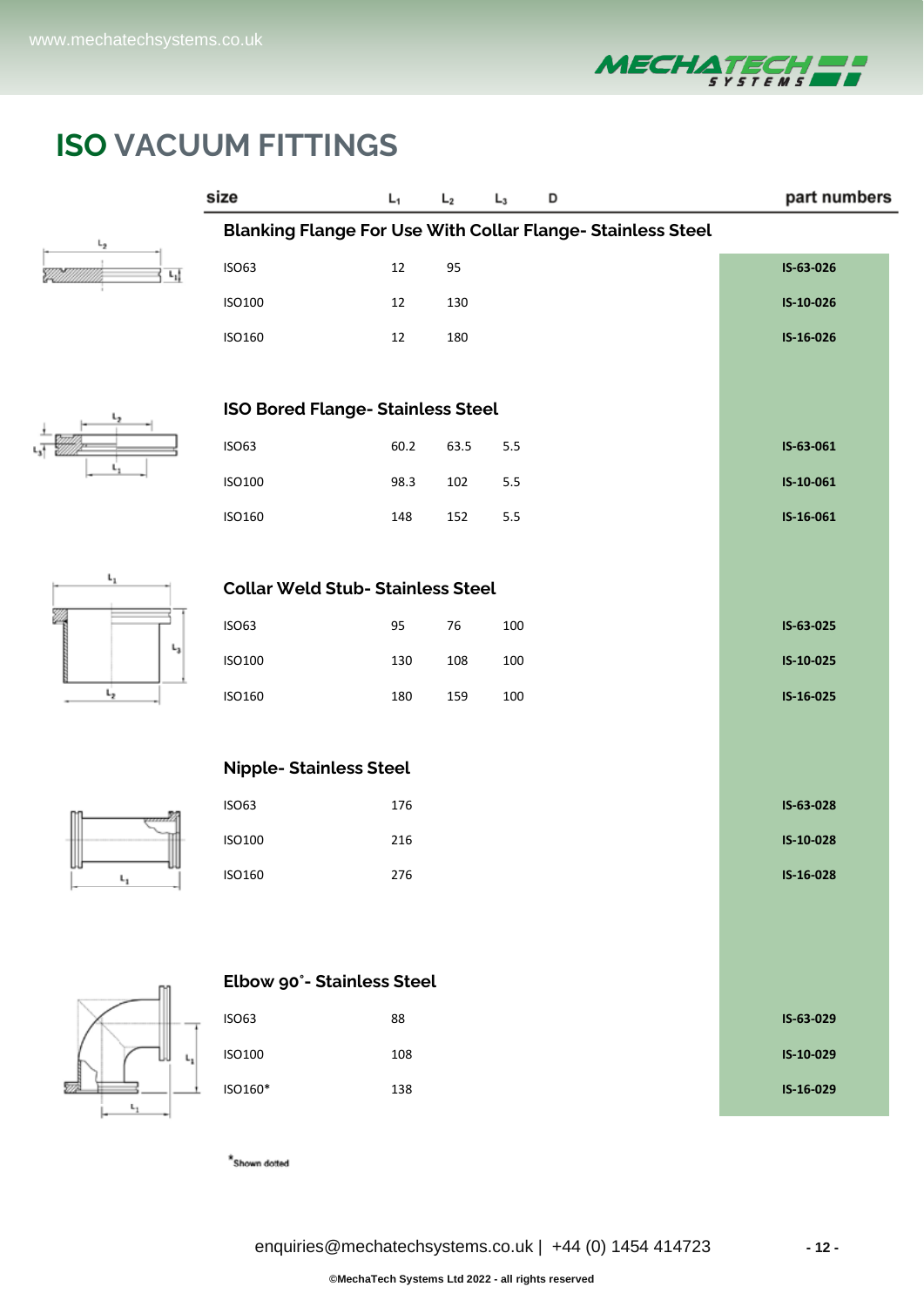

part numbers

# **ISO VACUUM FITTINGS**

size

 $L_1$ 

 $L_2$   $L_3$ 

 $\overline{D}$ 

 $\mathsf{L}_1$ 

 $t_{2}$ 

 $\mathbf{t}_1$ 

 $\mathsf{L}_1$ 

 $\mathsf{L}_3$ 

ě

| <b>Blanking Flange For Use With Collar Flange- Stainless Steel</b> |      |      |     |           |  |  |  |
|--------------------------------------------------------------------|------|------|-----|-----------|--|--|--|
| <b>ISO63</b>                                                       | 12   | 95   |     | IS-63-026 |  |  |  |
| ISO100                                                             | 12   | 130  |     | IS-10-026 |  |  |  |
| ISO160                                                             | 12   | 180  |     | IS-16-026 |  |  |  |
|                                                                    |      |      |     |           |  |  |  |
| <b>ISO Bored Flange- Stainless Steel</b>                           |      |      |     |           |  |  |  |
| <b>ISO63</b>                                                       | 60.2 | 63.5 | 5.5 | IS-63-061 |  |  |  |
| <b>ISO100</b>                                                      | 98.3 | 102  | 5.5 | IS-10-061 |  |  |  |
| ISO160                                                             | 148  | 152  | 5.5 | IS-16-061 |  |  |  |
|                                                                    |      |      |     |           |  |  |  |
| <b>Collar Weld Stub- Stainless Steel</b>                           |      |      |     |           |  |  |  |
| <b>ISO63</b>                                                       | 95   | 76   | 100 | IS-63-025 |  |  |  |
| <b>ISO100</b>                                                      | 130  | 108  | 100 | IS-10-025 |  |  |  |
| ISO160                                                             | 180  | 159  | 100 | IS-16-025 |  |  |  |
|                                                                    |      |      |     |           |  |  |  |
| <b>Nipple- Stainless Steel</b>                                     |      |      |     |           |  |  |  |
| <b>ISO63</b>                                                       | 176  |      |     | IS-63-028 |  |  |  |
| <b>ISO100</b>                                                      | 216  |      |     | IS-10-028 |  |  |  |
| ISO160                                                             | 276  |      |     | IS-16-028 |  |  |  |
|                                                                    |      |      |     |           |  |  |  |
|                                                                    |      |      |     |           |  |  |  |
| Elbow 90°- Stainless Steel                                         |      |      |     |           |  |  |  |
| <b>ISO63</b>                                                       | 88   |      |     | IS-63-029 |  |  |  |
| <b>ISO100</b>                                                      | 108  |      |     | IS-10-029 |  |  |  |
| ISO160*                                                            | 138  |      |     | IS-16-029 |  |  |  |

 $\displaystyle{{}^{\star}}$  Shown dotted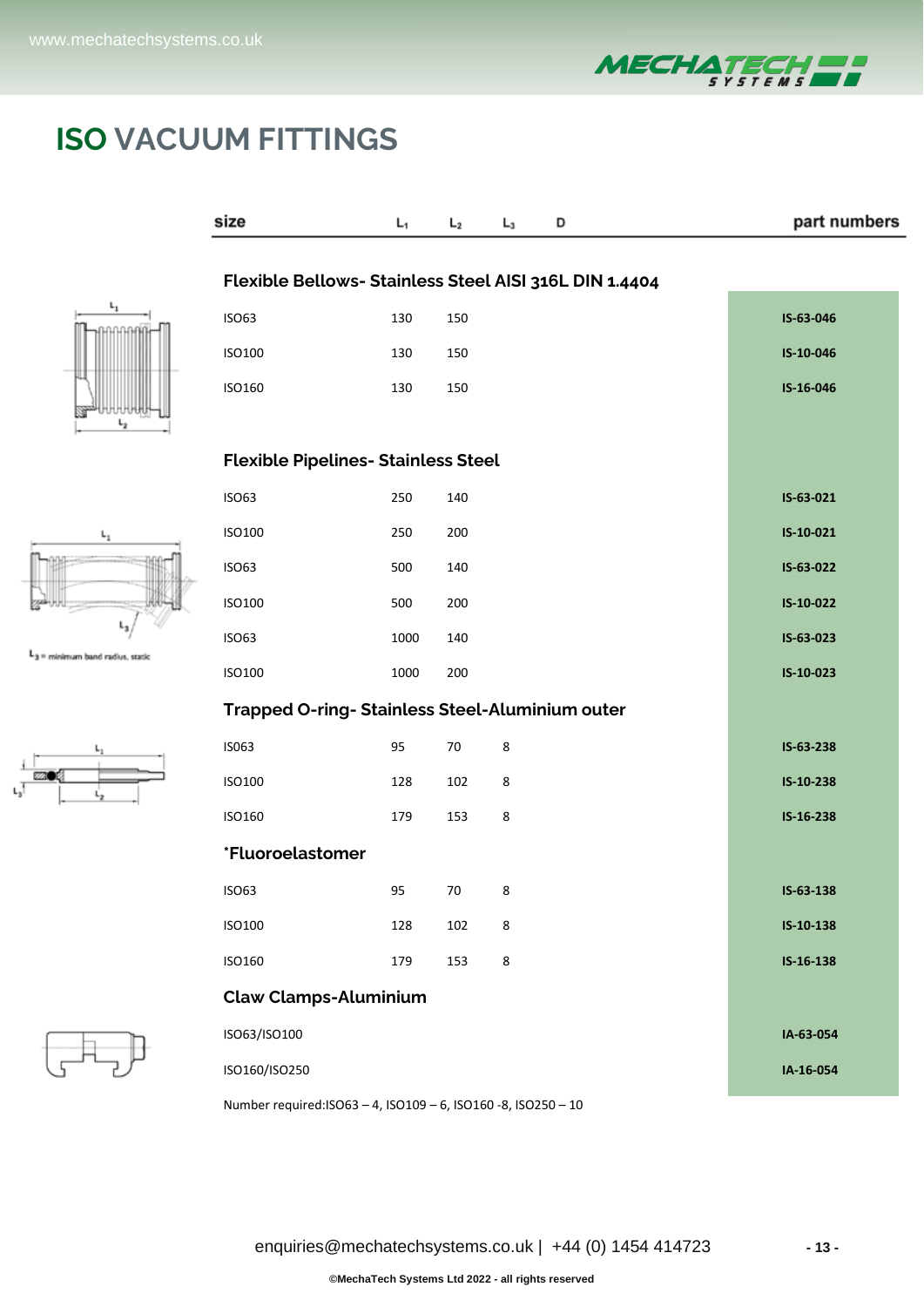

# **ISO VACUUM FITTINGS**





= minimum band radius, static





| Flexible Bellows- Stainless Steel AISI 316L DIN 1.4404<br><b>ISO63</b><br>130<br>150<br>IS-63-046<br>130<br>150<br>IS-10-046<br>ISO100<br>ISO160<br>130<br>150<br>IS-16-046<br><b>Flexible Pipelines- Stainless Steel</b><br><b>ISO63</b><br>250<br>140<br>IS-63-021<br>250<br>ISO100<br>200<br>IS-10-021<br>140<br>IS-63-022<br><b>ISO63</b><br>500<br><b>ISO100</b><br>500<br>200<br>IS-10-022<br><b>ISO63</b><br>1000<br>140<br>IS-63-023<br><b>ISO100</b><br>1000<br>200<br>IS-10-023<br>Trapped O-ring- Stainless Steel-Aluminium outer<br>IS063<br>95<br>70<br>8<br>IS-63-238<br>128<br>102<br>8<br>IS-10-238<br>ISO100<br>ISO160<br>179<br>153<br>8<br>IS-16-238<br>*Fluoroelastomer<br>95<br>70<br>8<br><b>ISO63</b><br>IS-63-138<br><b>ISO100</b><br>128<br>102<br>IS-10-138<br>8<br>8<br>ISO160<br>179<br>153<br>IS-16-138<br><b>Claw Clamps-Aluminium</b><br>ISO63/ISO100<br>IA-63-054<br>ISO160/ISO250<br>IA-16-054 | size | L, | L <sub>2</sub> | $L_3$ | D | part numbers |  |  |
|---------------------------------------------------------------------------------------------------------------------------------------------------------------------------------------------------------------------------------------------------------------------------------------------------------------------------------------------------------------------------------------------------------------------------------------------------------------------------------------------------------------------------------------------------------------------------------------------------------------------------------------------------------------------------------------------------------------------------------------------------------------------------------------------------------------------------------------------------------------------------------------------------------------------------------|------|----|----------------|-------|---|--------------|--|--|
|                                                                                                                                                                                                                                                                                                                                                                                                                                                                                                                                                                                                                                                                                                                                                                                                                                                                                                                                 |      |    |                |       |   |              |  |  |
|                                                                                                                                                                                                                                                                                                                                                                                                                                                                                                                                                                                                                                                                                                                                                                                                                                                                                                                                 |      |    |                |       |   |              |  |  |
|                                                                                                                                                                                                                                                                                                                                                                                                                                                                                                                                                                                                                                                                                                                                                                                                                                                                                                                                 |      |    |                |       |   |              |  |  |
|                                                                                                                                                                                                                                                                                                                                                                                                                                                                                                                                                                                                                                                                                                                                                                                                                                                                                                                                 |      |    |                |       |   |              |  |  |
|                                                                                                                                                                                                                                                                                                                                                                                                                                                                                                                                                                                                                                                                                                                                                                                                                                                                                                                                 |      |    |                |       |   |              |  |  |
|                                                                                                                                                                                                                                                                                                                                                                                                                                                                                                                                                                                                                                                                                                                                                                                                                                                                                                                                 |      |    |                |       |   |              |  |  |
|                                                                                                                                                                                                                                                                                                                                                                                                                                                                                                                                                                                                                                                                                                                                                                                                                                                                                                                                 |      |    |                |       |   |              |  |  |
|                                                                                                                                                                                                                                                                                                                                                                                                                                                                                                                                                                                                                                                                                                                                                                                                                                                                                                                                 |      |    |                |       |   |              |  |  |
|                                                                                                                                                                                                                                                                                                                                                                                                                                                                                                                                                                                                                                                                                                                                                                                                                                                                                                                                 |      |    |                |       |   |              |  |  |
|                                                                                                                                                                                                                                                                                                                                                                                                                                                                                                                                                                                                                                                                                                                                                                                                                                                                                                                                 |      |    |                |       |   |              |  |  |
|                                                                                                                                                                                                                                                                                                                                                                                                                                                                                                                                                                                                                                                                                                                                                                                                                                                                                                                                 |      |    |                |       |   |              |  |  |
|                                                                                                                                                                                                                                                                                                                                                                                                                                                                                                                                                                                                                                                                                                                                                                                                                                                                                                                                 |      |    |                |       |   |              |  |  |
|                                                                                                                                                                                                                                                                                                                                                                                                                                                                                                                                                                                                                                                                                                                                                                                                                                                                                                                                 |      |    |                |       |   |              |  |  |
|                                                                                                                                                                                                                                                                                                                                                                                                                                                                                                                                                                                                                                                                                                                                                                                                                                                                                                                                 |      |    |                |       |   |              |  |  |
|                                                                                                                                                                                                                                                                                                                                                                                                                                                                                                                                                                                                                                                                                                                                                                                                                                                                                                                                 |      |    |                |       |   |              |  |  |
|                                                                                                                                                                                                                                                                                                                                                                                                                                                                                                                                                                                                                                                                                                                                                                                                                                                                                                                                 |      |    |                |       |   |              |  |  |
|                                                                                                                                                                                                                                                                                                                                                                                                                                                                                                                                                                                                                                                                                                                                                                                                                                                                                                                                 |      |    |                |       |   |              |  |  |
|                                                                                                                                                                                                                                                                                                                                                                                                                                                                                                                                                                                                                                                                                                                                                                                                                                                                                                                                 |      |    |                |       |   |              |  |  |
|                                                                                                                                                                                                                                                                                                                                                                                                                                                                                                                                                                                                                                                                                                                                                                                                                                                                                                                                 |      |    |                |       |   |              |  |  |
|                                                                                                                                                                                                                                                                                                                                                                                                                                                                                                                                                                                                                                                                                                                                                                                                                                                                                                                                 |      |    |                |       |   |              |  |  |
|                                                                                                                                                                                                                                                                                                                                                                                                                                                                                                                                                                                                                                                                                                                                                                                                                                                                                                                                 |      |    |                |       |   |              |  |  |
|                                                                                                                                                                                                                                                                                                                                                                                                                                                                                                                                                                                                                                                                                                                                                                                                                                                                                                                                 |      |    |                |       |   |              |  |  |
|                                                                                                                                                                                                                                                                                                                                                                                                                                                                                                                                                                                                                                                                                                                                                                                                                                                                                                                                 |      |    |                |       |   |              |  |  |
|                                                                                                                                                                                                                                                                                                                                                                                                                                                                                                                                                                                                                                                                                                                                                                                                                                                                                                                                 |      |    |                |       |   |              |  |  |

Number required:ISO63 – 4, ISO109 – 6, ISO160 -8, ISO250 – 10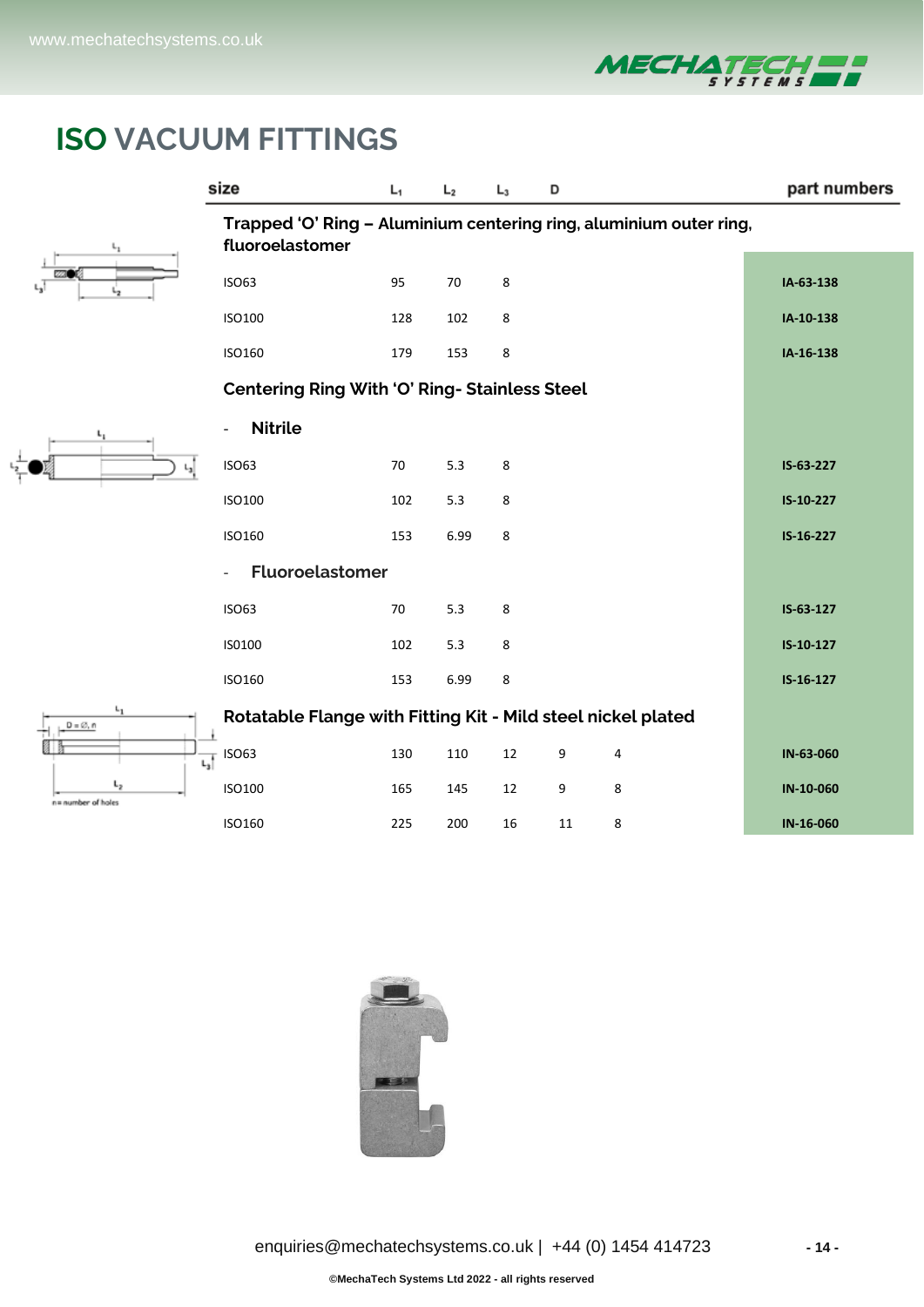

# **ISO VACUUM FITTINGS**

 $L_3$ 



 $L_1$ 

 $L_{2}$ 

 $D = \emptyset, n$ 

n= number of holes

可

|                                                                                       | size                                                         | L,  | L <sub>2</sub> | $L_3$ | D  |   | part numbers |  |
|---------------------------------------------------------------------------------------|--------------------------------------------------------------|-----|----------------|-------|----|---|--------------|--|
| Trapped 'O' Ring - Aluminium centering ring, aluminium outer ring,<br>fluoroelastomer |                                                              |     |                |       |    |   |              |  |
|                                                                                       | <b>ISO63</b>                                                 | 95  | 70             | 8     |    |   | IA-63-138    |  |
|                                                                                       | ISO100                                                       | 128 | 102            | 8     |    |   | IA-10-138    |  |
|                                                                                       | ISO160                                                       | 179 | 153            | 8     |    |   | IA-16-138    |  |
|                                                                                       | <b>Centering Ring With 'O' Ring- Stainless Steel</b>         |     |                |       |    |   |              |  |
|                                                                                       | <b>Nitrile</b><br>$\overline{\phantom{a}}$                   |     |                |       |    |   |              |  |
|                                                                                       | <b>ISO63</b>                                                 | 70  | 5.3            | 8     |    |   | IS-63-227    |  |
|                                                                                       | <b>ISO100</b>                                                | 102 | 5.3            | 8     |    |   | IS-10-227    |  |
|                                                                                       | ISO160                                                       | 153 | 6.99           | 8     |    |   | IS-16-227    |  |
|                                                                                       | <b>Fluoroelastomer</b>                                       |     |                |       |    |   |              |  |
|                                                                                       | <b>ISO63</b>                                                 | 70  | 5.3            | 8     |    |   | IS-63-127    |  |
|                                                                                       | IS0100                                                       | 102 | 5.3            | 8     |    |   | IS-10-127    |  |
|                                                                                       | ISO160                                                       | 153 | 6.99           | 8     |    |   | $IS-16-127$  |  |
|                                                                                       | Rotatable Flange with Fitting Kit - Mild steel nickel plated |     |                |       |    |   |              |  |
|                                                                                       | $\frac{1}{L_3}$ ISO63                                        | 130 | 110            | 12    | 9  | 4 | IN-63-060    |  |
|                                                                                       | <b>ISO100</b>                                                | 165 | 145            | 12    | 9  | 8 | IN-10-060    |  |
|                                                                                       | ISO160                                                       | 225 | 200            | 16    | 11 | 8 | IN-16-060    |  |